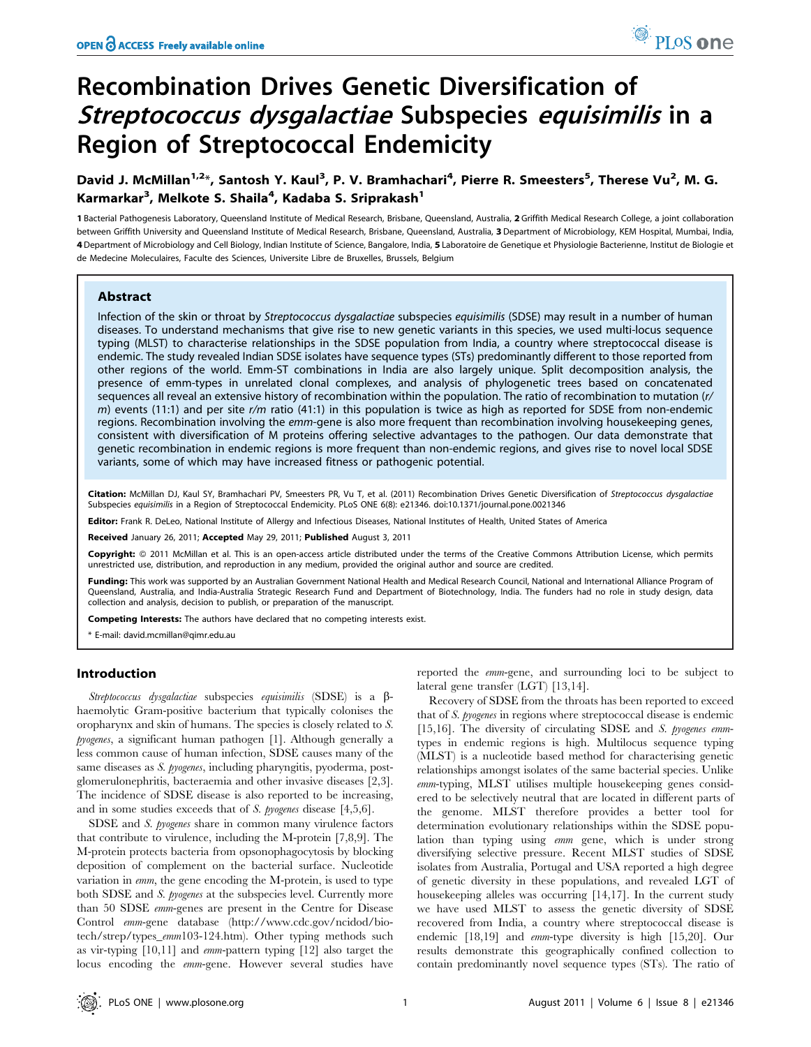# Recombination Drives Genetic Diversification of Streptococcus dysgalactiae Subspecies equisimilis in a Region of Streptococcal Endemicity

# David J. McMillan<sup>1,2\*</sup>, Santosh Y. Kaul<sup>3</sup>, P. V. Bramhachari<sup>4</sup>, Pierre R. Smeesters<sup>5</sup>, Therese Vu<sup>2</sup>, M. G. Karmarkar<sup>3</sup>, Melkote S. Shaila<sup>4</sup>, Kadaba S. Sriprakash<sup>1</sup>

1 Bacterial Pathogenesis Laboratory, Queensland Institute of Medical Research, Brisbane, Queensland, Australia, 2 Griffith Medical Research College, a joint collaboration between Griffith University and Queensland Institute of Medical Research, Brisbane, Queensland, Australia, 3 Department of Microbiology, KEM Hospital, Mumbai, India, 4 Department of Microbiology and Cell Biology, Indian Institute of Science, Bangalore, India, 5 Laboratoire de Genetique et Physiologie Bacterienne, Institut de Biologie et de Medecine Moleculaires, Faculte des Sciences, Universite Libre de Bruxelles, Brussels, Belgium

## Abstract

Infection of the skin or throat by Streptococcus dysgalactiae subspecies equisimilis (SDSE) may result in a number of human diseases. To understand mechanisms that give rise to new genetic variants in this species, we used multi-locus sequence typing (MLST) to characterise relationships in the SDSE population from India, a country where streptococcal disease is endemic. The study revealed Indian SDSE isolates have sequence types (STs) predominantly different to those reported from other regions of the world. Emm-ST combinations in India are also largely unique. Split decomposition analysis, the presence of emm-types in unrelated clonal complexes, and analysis of phylogenetic trees based on concatenated sequences all reveal an extensive history of recombination within the population. The ratio of recombination to mutation (r/  $m$ ) events (11:1) and per site r/m ratio (41:1) in this population is twice as high as reported for SDSE from non-endemic regions. Recombination involving the emm-gene is also more frequent than recombination involving housekeeping genes, consistent with diversification of M proteins offering selective advantages to the pathogen. Our data demonstrate that genetic recombination in endemic regions is more frequent than non-endemic regions, and gives rise to novel local SDSE variants, some of which may have increased fitness or pathogenic potential.

Citation: McMillan DJ, Kaul SY, Bramhachari PV, Smeesters PR, Vu T, et al. (2011) Recombination Drives Genetic Diversification of Streptococcus dysgalactiae Subspecies equisimilis in a Region of Streptococcal Endemicity. PLoS ONE 6(8): e21346. doi:10.1371/journal.pone.0021346

Editor: Frank R. DeLeo, National Institute of Allergy and Infectious Diseases, National Institutes of Health, United States of America

Received January 26, 2011; Accepted May 29, 2011; Published August 3, 2011

Copyright: © 2011 McMillan et al. This is an open-access article distributed under the terms of the Creative Commons Attribution License, which permits unrestricted use, distribution, and reproduction in any medium, provided the original author and source are credited.

Funding: This work was supported by an Australian Government National Health and Medical Research Council, National and International Alliance Program of Queensland, Australia, and India-Australia Strategic Research Fund and Department of Biotechnology, India. The funders had no role in study design, data collection and analysis, decision to publish, or preparation of the manuscript.

Competing Interests: The authors have declared that no competing interests exist.

\* E-mail: david.mcmillan@qimr.edu.au

## Introduction

Streptococcus dysgalactiae subspecies equisimilis  $(SDSE)$  is a  $\beta$ haemolytic Gram-positive bacterium that typically colonises the oropharynx and skin of humans. The species is closely related to S. pyogenes, a significant human pathogen [1]. Although generally a less common cause of human infection, SDSE causes many of the same diseases as S. pyogenes, including pharyngitis, pyoderma, postglomerulonephritis, bacteraemia and other invasive diseases [2,3]. The incidence of SDSE disease is also reported to be increasing, and in some studies exceeds that of S. pyogenes disease [4,5,6].

SDSE and S. pyogenes share in common many virulence factors that contribute to virulence, including the M-protein [7,8,9]. The M-protein protects bacteria from opsonophagocytosis by blocking deposition of complement on the bacterial surface. Nucleotide variation in emm, the gene encoding the M-protein, is used to type both SDSE and S. pyogenes at the subspecies level. Currently more than 50 SDSE emm-genes are present in the Centre for Disease Control emm-gene database (http://www.cdc.gov/ncidod/biotech/strep/types\_emm103-124.htm). Other typing methods such as vir-typing [10,11] and emm-pattern typing [12] also target the locus encoding the emm-gene. However several studies have reported the emm-gene, and surrounding loci to be subject to lateral gene transfer (LGT) [13,14].

Recovery of SDSE from the throats has been reported to exceed that of S. pyogenes in regions where streptococcal disease is endemic [15,16]. The diversity of circulating SDSE and S. pyogenes emmtypes in endemic regions is high. Multilocus sequence typing (MLST) is a nucleotide based method for characterising genetic relationships amongst isolates of the same bacterial species. Unlike emm-typing, MLST utilises multiple housekeeping genes considered to be selectively neutral that are located in different parts of the genome. MLST therefore provides a better tool for determination evolutionary relationships within the SDSE population than typing using emm gene, which is under strong diversifying selective pressure. Recent MLST studies of SDSE isolates from Australia, Portugal and USA reported a high degree of genetic diversity in these populations, and revealed LGT of housekeeping alleles was occurring [14,17]. In the current study we have used MLST to assess the genetic diversity of SDSE recovered from India, a country where streptococcal disease is endemic [18,19] and emm-type diversity is high [15,20]. Our results demonstrate this geographically confined collection to contain predominantly novel sequence types (STs). The ratio of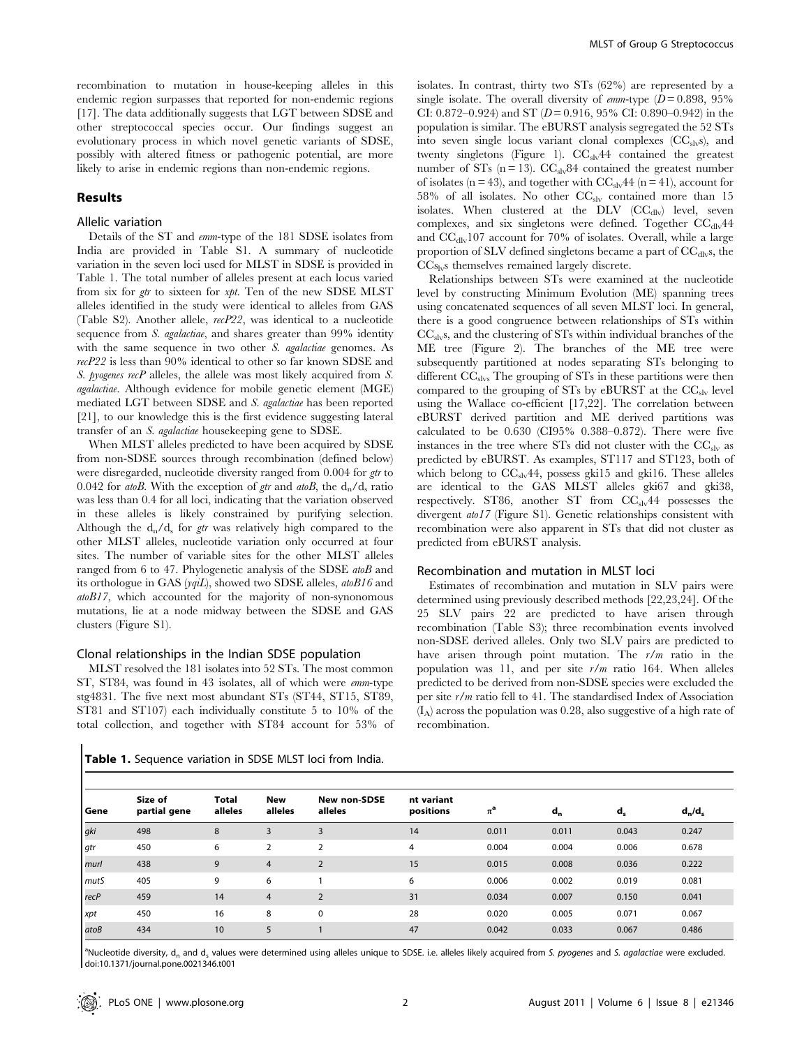recombination to mutation in house-keeping alleles in this endemic region surpasses that reported for non-endemic regions [17]. The data additionally suggests that LGT between SDSE and other streptococcal species occur. Our findings suggest an evolutionary process in which novel genetic variants of SDSE, possibly with altered fitness or pathogenic potential, are more likely to arise in endemic regions than non-endemic regions.

#### Results

#### Allelic variation

Details of the ST and emm-type of the 181 SDSE isolates from India are provided in Table S1. A summary of nucleotide variation in the seven loci used for MLST in SDSE is provided in Table 1. The total number of alleles present at each locus varied from six for gtr to sixteen for xpt. Ten of the new SDSE MLST alleles identified in the study were identical to alleles from GAS (Table S2). Another allele, recP22, was identical to a nucleotide sequence from *S. agalactiae*, and shares greater than 99% identity with the same sequence in two other S. *agalactiae* genomes. As recP22 is less than 90% identical to other so far known SDSE and S. pyogenes recP alleles, the allele was most likely acquired from S. agalactiae. Although evidence for mobile genetic element (MGE) mediated LGT between SDSE and S. agalactiae has been reported [21], to our knowledge this is the first evidence suggesting lateral transfer of an S. agalactiae housekeeping gene to SDSE.

When MLST alleles predicted to have been acquired by SDSE from non-SDSE sources through recombination (defined below) were disregarded, nucleotide diversity ranged from 0.004 for gtr to 0.042 for *atoB*. With the exception of gtr and *atoB*, the  $d_n/d_s$  ratio was less than 0.4 for all loci, indicating that the variation observed in these alleles is likely constrained by purifying selection. Although the  $d_n/d_s$  for gtr was relatively high compared to the other MLST alleles, nucleotide variation only occurred at four sites. The number of variable sites for the other MLST alleles ranged from 6 to 47. Phylogenetic analysis of the SDSE atoB and its orthologue in GAS (yqiL), showed two SDSE alleles, atoB16 and atoB17, which accounted for the majority of non-synonomous mutations, lie at a node midway between the SDSE and GAS clusters (Figure S1).

#### Clonal relationships in the Indian SDSE population

MLST resolved the 181 isolates into 52 STs. The most common ST, ST84, was found in 43 isolates, all of which were emm-type stg4831. The five next most abundant STs (ST44, ST15, ST89, ST81 and ST107) each individually constitute 5 to 10% of the total collection, and together with ST84 account for 53% of isolates. In contrast, thirty two STs (62%) are represented by a single isolate. The overall diversity of  $emm$ -type ( $D=0.898, 95\%$ ) CI: 0.872–0.924) and ST ( $D = 0.916$ , 95% CI: 0.890–0.942) in the population is similar. The eBURST analysis segregated the 52 STs into seven single locus variant clonal complexes  $(CC_{\text{sky}}s)$ , and twenty singletons (Figure 1).  $CC_{\text{slv}}44$  contained the greatest number of STs ( $n = 13$ ). CC<sub>slv</sub>84 contained the greatest number of isolates (n = 43), and together with  $CC_{slv}44$  (n = 41), account for 58% of all isolates. No other  $CC_{\rm slv}$  contained more than 15 isolates. When clustered at the  $DLV$  (CC $_{\text{dlv}}$ ) level, seven complexes, and six singletons were defined. Together  $CC<sub>dlv</sub>44$ and CC<sub>dlv</sub>107 account for 70% of isolates. Overall, while a large proportion of SLV defined singletons became a part of  $CC<sub>div</sub>s$ , the  $CCs<sub>lv</sub>s$  themselves remained largely discrete.

Relationships between STs were examined at the nucleotide level by constructing Minimum Evolution (ME) spanning trees using concatenated sequences of all seven MLST loci. In general, there is a good congruence between relationships of STs within  $CC<sub>slv</sub>s$ , and the clustering of STs within individual branches of the ME tree (Figure 2). The branches of the ME tree were subsequently partitioned at nodes separating STs belonging to different CC<sub>slvs</sub> The grouping of STs in these partitions were then compared to the grouping of  $STs$  by eBURST at the  $CC_{slv}$  level using the Wallace co-efficient [17,22]. The correlation between eBURST derived partition and ME derived partitions was calculated to be 0.630 (CI95% 0.388–0.872). There were five instances in the tree where  $STs$  did not cluster with the  $CC_{\rm slv}$  as predicted by eBURST. As examples, ST117 and ST123, both of which belong to  $CC_{\rm sb}44$ , possess gki15 and gki16. These alleles are identical to the GAS MLST alleles gki67 and gki38, respectively. ST86, another ST from  $CC_{\rm slv}44$  possesses the divergent ato17 (Figure S1). Genetic relationships consistent with recombination were also apparent in STs that did not cluster as predicted from eBURST analysis.

#### Recombination and mutation in MLST loci

Estimates of recombination and mutation in SLV pairs were determined using previously described methods [22,23,24]. Of the 25 SLV pairs 22 are predicted to have arisen through recombination (Table S3); three recombination events involved non-SDSE derived alleles. Only two SLV pairs are predicted to have arisen through point mutation. The  $r/m$  ratio in the population was 11, and per site  $r/m$  ratio 164. When alleles predicted to be derived from non-SDSE species were excluded the per site r/m ratio fell to 41. The standardised Index of Association  $(I_A)$  across the population was 0.28, also suggestive of a high rate of recombination.

| Size of<br>nt variant<br><b>Total</b><br>New<br><b>New non-SDSE</b><br>$\pi^{\mathbf{a}}$<br>positions<br>alleles<br>alleles<br>partial gene<br>alleles<br>l Gene<br>gki<br>498<br>8<br>3<br>3<br>14<br>0.011<br>$\overline{2}$<br>6<br>$\overline{2}$<br>0.004<br>450<br>4<br>gtr<br>438<br>15<br>9<br>$\overline{2}$<br>0.015<br>$\overline{4}$<br>murl | d <sub>n</sub> |         |           |
|-----------------------------------------------------------------------------------------------------------------------------------------------------------------------------------------------------------------------------------------------------------------------------------------------------------------------------------------------------------|----------------|---------|-----------|
|                                                                                                                                                                                                                                                                                                                                                           |                | $d_{s}$ | $d_n/d_s$ |
|                                                                                                                                                                                                                                                                                                                                                           | 0.011          | 0.043   | 0.247     |
|                                                                                                                                                                                                                                                                                                                                                           | 0.004          | 0.006   | 0.678     |
|                                                                                                                                                                                                                                                                                                                                                           | 0.008          | 0.036   | 0.222     |
| 405<br>9<br>6<br>6<br>0.006<br>mutS                                                                                                                                                                                                                                                                                                                       | 0.002          | 0.019   | 0.081     |
| recP<br>459<br>$\overline{2}$<br>31<br>14<br>0.034<br>$\overline{4}$                                                                                                                                                                                                                                                                                      | 0.007          | 0.150   | 0.041     |
| $\mathbf 0$<br>28<br>450<br>16<br>8<br>0.020<br>xpt                                                                                                                                                                                                                                                                                                       | 0.005          | 0.071   | 0.067     |
| 10<br>5<br>47<br>atoB<br>434<br>0.042                                                                                                                                                                                                                                                                                                                     | 0.033          | 0.067   | 0.486     |

Table 1. Sequence variation in SDSE MLST loci from India.

<sup>a</sup>Nucleotide diversity, d<sub>n</sub> and d<sub>s</sub> values were determined using alleles unique to SDSE. i.e. alleles likely acquired from S. pyogenes and S. agalactiae were excluded. doi:10.1371/journal.pone.0021346.t001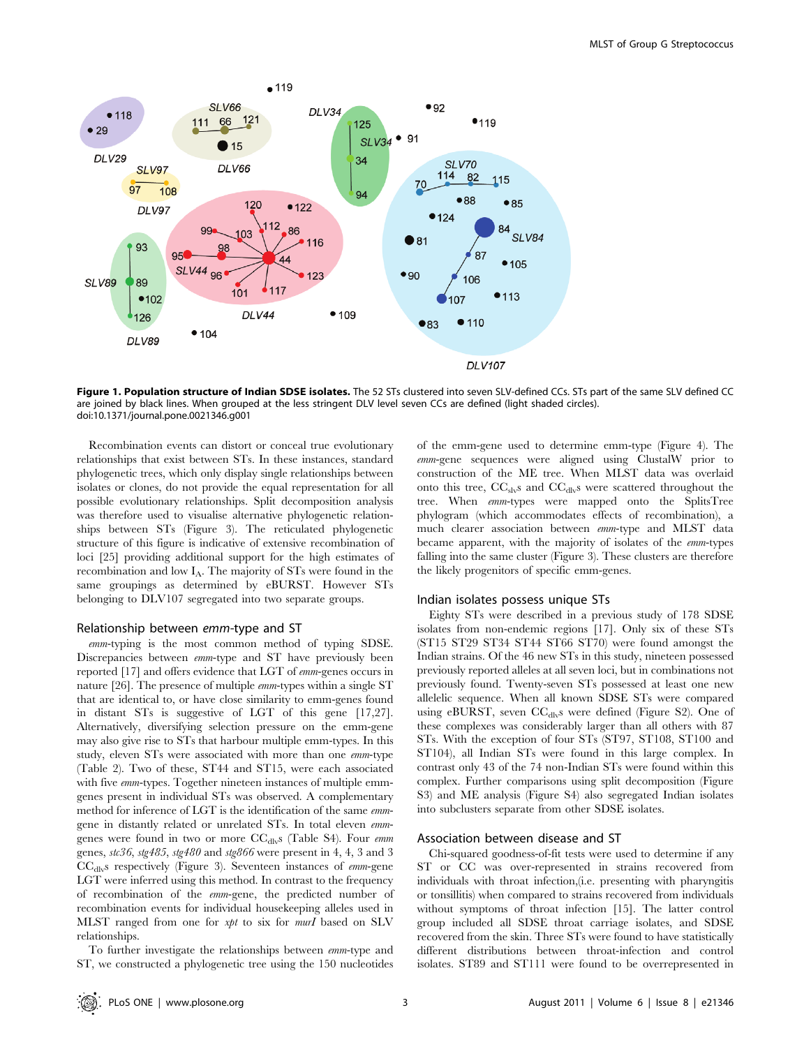

Figure 1. Population structure of Indian SDSE isolates. The 52 STs clustered into seven SLV-defined CCs. STs part of the same SLV defined CC are joined by black lines. When grouped at the less stringent DLV level seven CCs are defined (light shaded circles). doi:10.1371/journal.pone.0021346.g001

Recombination events can distort or conceal true evolutionary relationships that exist between STs. In these instances, standard phylogenetic trees, which only display single relationships between isolates or clones, do not provide the equal representation for all possible evolutionary relationships. Split decomposition analysis was therefore used to visualise alternative phylogenetic relationships between STs (Figure 3). The reticulated phylogenetic structure of this figure is indicative of extensive recombination of loci [25] providing additional support for the high estimates of recombination and low IA. The majority of STs were found in the same groupings as determined by eBURST. However STs belonging to DLV107 segregated into two separate groups.

## Relationship between emm-type and ST

emm-typing is the most common method of typing SDSE. Discrepancies between emm-type and ST have previously been reported [17] and offers evidence that LGT of emm-genes occurs in nature [26]. The presence of multiple emm-types within a single ST that are identical to, or have close similarity to emm-genes found in distant STs is suggestive of LGT of this gene [17,27]. Alternatively, diversifying selection pressure on the emm-gene may also give rise to STs that harbour multiple emm-types. In this study, eleven STs were associated with more than one emm-type (Table 2). Two of these, ST44 and ST15, were each associated with five emm-types. Together nineteen instances of multiple emmgenes present in individual STs was observed. A complementary method for inference of LGT is the identification of the same emmgene in distantly related or unrelated STs. In total eleven emmgenes were found in two or more  $CC_{\text{div}}s$  (Table S4). Four *emm* genes, stc36, stg485, stg480 and stg866 were present in 4, 4, 3 and 3 CC<sub>dlv</sub>s respectively (Figure 3). Seventeen instances of emm-gene LGT were inferred using this method. In contrast to the frequency of recombination of the emm-gene, the predicted number of recombination events for individual housekeeping alleles used in MLST ranged from one for xpt to six for murI based on SLV relationships.

To further investigate the relationships between emm-type and ST, we constructed a phylogenetic tree using the 150 nucleotides

of the emm-gene used to determine emm-type (Figure 4). The emm-gene sequences were aligned using ClustalW prior to construction of the ME tree. When MLST data was overlaid onto this tree,  $CC_{\rm slv}s$  and  $CC_{\rm dlv}s$  were scattered throughout the tree. When emm-types were mapped onto the SplitsTree phylogram (which accommodates effects of recombination), a much clearer association between emm-type and MLST data became apparent, with the majority of isolates of the emm-types falling into the same cluster (Figure 3). These clusters are therefore the likely progenitors of specific emm-genes.

#### Indian isolates possess unique STs

Eighty STs were described in a previous study of 178 SDSE isolates from non-endemic regions [17]. Only six of these STs (ST15 ST29 ST34 ST44 ST66 ST70) were found amongst the Indian strains. Of the 46 new STs in this study, nineteen possessed previously reported alleles at all seven loci, but in combinations not previously found. Twenty-seven STs possessed at least one new allelelic sequence. When all known SDSE STs were compared using eBURST, seven  $CC_{\text{dly}}$ s were defined (Figure S2). One of these complexes was considerably larger than all others with 87 STs. With the exception of four STs (ST97, ST108, ST100 and ST104), all Indian STs were found in this large complex. In contrast only 43 of the 74 non-Indian STs were found within this complex. Further comparisons using split decomposition (Figure S3) and ME analysis (Figure S4) also segregated Indian isolates into subclusters separate from other SDSE isolates.

#### Association between disease and ST

Chi-squared goodness-of-fit tests were used to determine if any ST or CC was over-represented in strains recovered from individuals with throat infection,(i.e. presenting with pharyngitis or tonsillitis) when compared to strains recovered from individuals without symptoms of throat infection [15]. The latter control group included all SDSE throat carriage isolates, and SDSE recovered from the skin. Three STs were found to have statistically different distributions between throat-infection and control isolates. ST89 and ST111 were found to be overrepresented in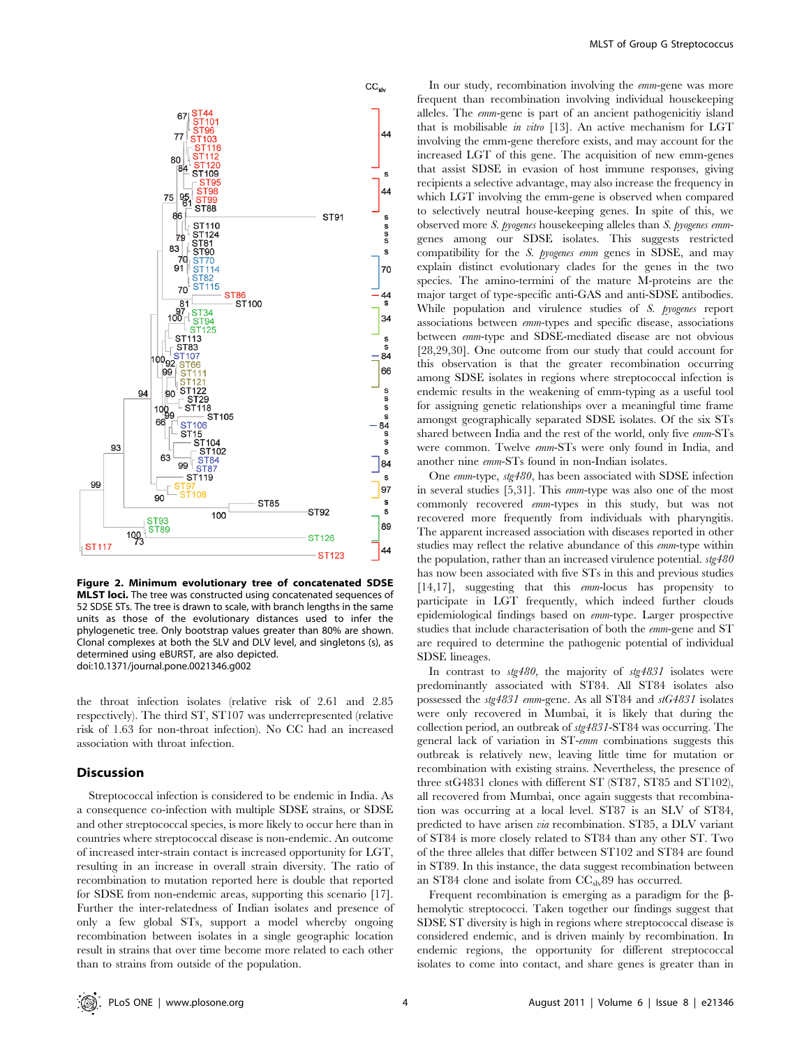

Figure 2. Minimum evolutionary tree of concatenated SDSE **MLST loci.** The tree was constructed using concatenated sequences of 52 SDSE STs. The tree is drawn to scale, with branch lengths in the same units as those of the evolutionary distances used to infer the phylogenetic tree. Only bootstrap values greater than 80% are shown. Clonal complexes at both the SLV and DLV level, and singletons (s), as determined using eBURST, are also depicted. doi:10.1371/journal.pone.0021346.g002

the throat infection isolates (relative risk of 2.61 and 2.85 respectively). The third ST, ST107 was underrepresented (relative risk of 1.63 for non-throat infection). No CC had an increased association with throat infection.

#### Discussion

Streptococcal infection is considered to be endemic in India. As a consequence co-infection with multiple SDSE strains, or SDSE and other streptococcal species, is more likely to occur here than in countries where streptococcal disease is non-endemic. An outcome of increased inter-strain contact is increased opportunity for LGT, resulting in an increase in overall strain diversity. The ratio of recombination to mutation reported here is double that reported for SDSE from non-endemic areas, supporting this scenario [17]. Further the inter-relatedness of Indian isolates and presence of only a few global STs, support a model whereby ongoing recombination between isolates in a single geographic location result in strains that over time become more related to each other than to strains from outside of the population.

In our study, recombination involving the emm-gene was more frequent than recombination involving individual housekeeping alleles. The emm-gene is part of an ancient pathogenicitiy island that is mobilisable in vitro [13]. An active mechanism for LGT involving the emm-gene therefore exists, and may account for the increased LGT of this gene. The acquisition of new emm-genes that assist SDSE in evasion of host immune responses, giving recipients a selective advantage, may also increase the frequency in which LGT involving the emm-gene is observed when compared to selectively neutral house-keeping genes. In spite of this, we observed more S. pyogenes housekeeping alleles than S. pyogenes emmgenes among our SDSE isolates. This suggests restricted compatibility for the S. pyogenes emm genes in SDSE, and may explain distinct evolutionary clades for the genes in the two species. The amino-termini of the mature M-proteins are the major target of type-specific anti-GAS and anti-SDSE antibodies. While population and virulence studies of S. pyogenes report associations between emm-types and specific disease, associations between emm-type and SDSE-mediated disease are not obvious [28,29,30]. One outcome from our study that could account for this observation is that the greater recombination occurring among SDSE isolates in regions where streptococcal infection is endemic results in the weakening of emm-typing as a useful tool for assigning genetic relationships over a meaningful time frame amongst geographically separated SDSE isolates. Of the six STs shared between India and the rest of the world, only five emm-STs were common. Twelve emm-STs were only found in India, and another nine emm-STs found in non-Indian isolates.

One emm-type, stg480, has been associated with SDSE infection in several studies [5,31]. This emm-type was also one of the most commonly recovered emm-types in this study, but was not recovered more frequently from individuals with pharyngitis. The apparent increased association with diseases reported in other studies may reflect the relative abundance of this emm-type within the population, rather than an increased virulence potential.  $\text{stg480}$ has now been associated with five STs in this and previous studies [14,17], suggesting that this emm-locus has propensity to participate in LGT frequently, which indeed further clouds epidemiological findings based on emm-type. Larger prospective studies that include characterisation of both the emm-gene and ST are required to determine the pathogenic potential of individual SDSE lineages.

In contrast to stg480, the majority of stg4831 isolates were predominantly associated with ST84. All ST84 isolates also possessed the stg4831 emm-gene. As all ST84 and stG4831 isolates were only recovered in Mumbai, it is likely that during the collection period, an outbreak of stg4831-ST84 was occurring. The general lack of variation in ST-emm combinations suggests this outbreak is relatively new, leaving little time for mutation or recombination with existing strains. Nevertheless, the presence of three stG4831 clones with different ST (ST87, ST85 and ST102), all recovered from Mumbai, once again suggests that recombination was occurring at a local level. ST87 is an SLV of ST84, predicted to have arisen via recombination. ST85, a DLV variant of ST84 is more closely related to ST84 than any other ST. Two of the three alleles that differ between ST102 and ST84 are found in ST89. In this instance, the data suggest recombination between an ST84 clone and isolate from CC<sub>slv</sub>89 has occurred.

Frequent recombination is emerging as a paradigm for the bhemolytic streptococci. Taken together our findings suggest that SDSE ST diversity is high in regions where streptococcal disease is considered endemic, and is driven mainly by recombination. In endemic regions, the opportunity for different streptococcal isolates to come into contact, and share genes is greater than in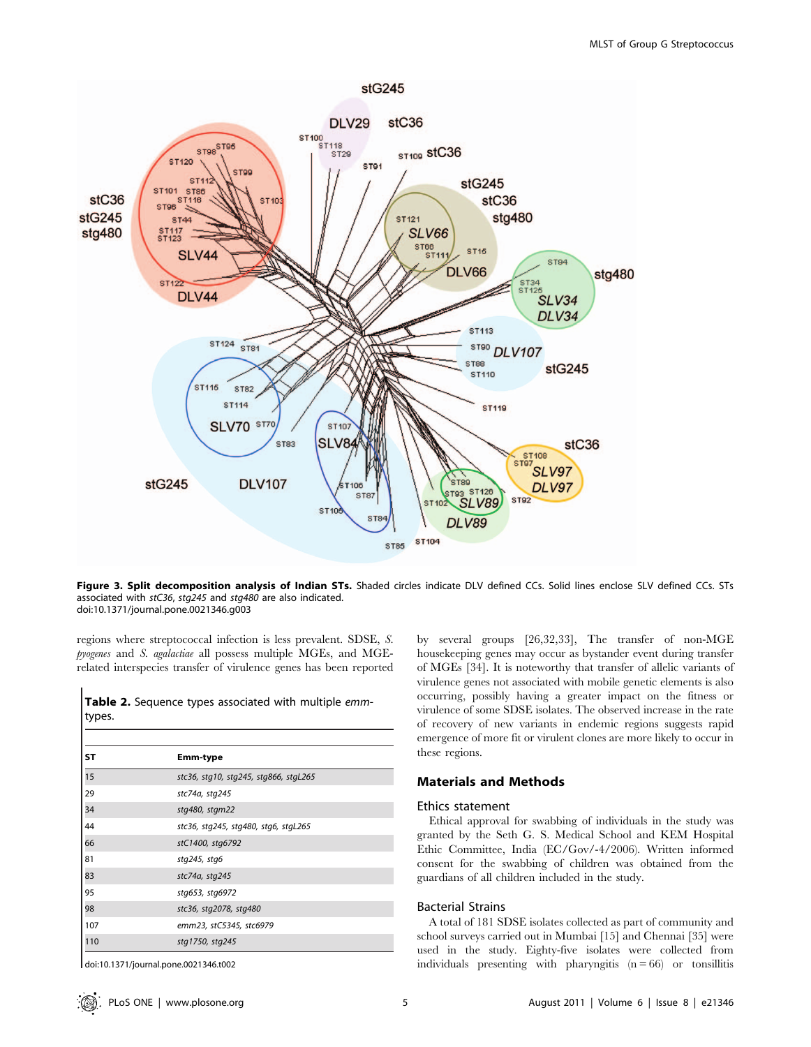

Figure 3. Split decomposition analysis of Indian STs. Shaded circles indicate DLV defined CCs. Solid lines enclose SLV defined CCs. STs associated with stC36, stg245 and stg480 are also indicated. doi:10.1371/journal.pone.0021346.g003

regions where streptococcal infection is less prevalent. SDSE, S. pyogenes and S. agalactiae all possess multiple MGEs, and MGErelated interspecies transfer of virulence genes has been reported

Table 2. Sequence types associated with multiple emmtypes.

| <b>ST</b> | <b>Emm-type</b>                       |
|-----------|---------------------------------------|
| 15        | stc36, stg10, stg245, stg866, stgL265 |
| 29        | stc74a, stg245                        |
| 34        | stg480, stgm22                        |
| 44        | stc36, stg245, stg480, stg6, stgL265  |
| 66        | stC1400, stg6792                      |
| 81        | stg245, stg6                          |
| 83        | stc74a, stg245                        |
| 95        | stg653, stg6972                       |
| 98        | stc36, stg2078, stg480                |
| 107       | emm23, stC5345, stc6979               |
| 110       | stg1750, stg245                       |

doi:10.1371/journal.pone.0021346.t002

housekeeping genes may occur as bystander event during transfer of MGEs [34]. It is noteworthy that transfer of allelic variants of virulence genes not associated with mobile genetic elements is also occurring, possibly having a greater impact on the fitness or virulence of some SDSE isolates. The observed increase in the rate of recovery of new variants in endemic regions suggests rapid emergence of more fit or virulent clones are more likely to occur in these regions.

by several groups [26,32,33], The transfer of non-MGE

## Materials and Methods

## Ethics statement

Ethical approval for swabbing of individuals in the study was granted by the Seth G. S. Medical School and KEM Hospital Ethic Committee, India (EC/Gov/-4/2006). Written informed consent for the swabbing of children was obtained from the guardians of all children included in the study.

#### Bacterial Strains

A total of 181 SDSE isolates collected as part of community and school surveys carried out in Mumbai [15] and Chennai [35] were used in the study. Eighty-five isolates were collected from individuals presenting with pharyngitis  $(n = 66)$  or tonsillitis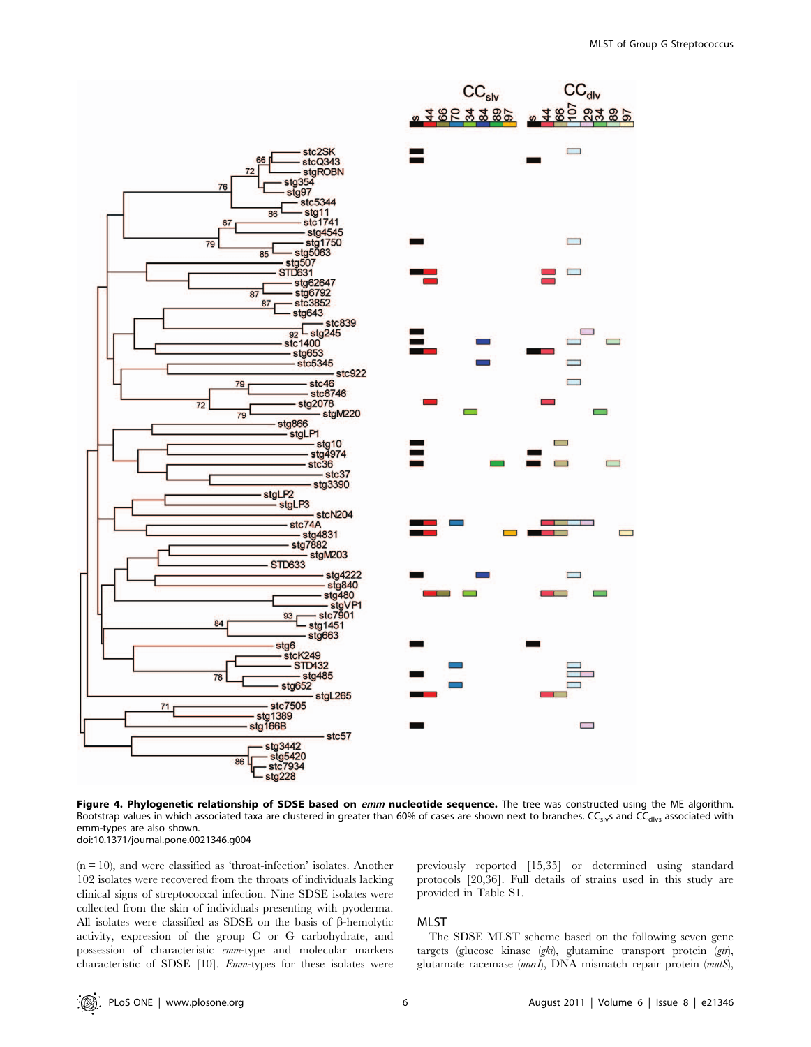

Figure 4. Phylogenetic relationship of SDSE based on emm nucleotide sequence. The tree was constructed using the ME algorithm. Bootstrap values in which associated taxa are clustered in greater than 60% of cases are shown next to branches. CC<sub>slv</sub>s and CC<sub>dlvs</sub> associated with emm-types are also shown. doi:10.1371/journal.pone.0021346.g004

 $(n = 10)$ , and were classified as 'throat-infection' isolates. Another 102 isolates were recovered from the throats of individuals lacking clinical signs of streptococcal infection. Nine SDSE isolates were collected from the skin of individuals presenting with pyoderma. All isolates were classified as SDSE on the basis of  $\beta$ -hemolytic activity, expression of the group C or G carbohydrate, and possession of characteristic emm-type and molecular markers characteristic of SDSE [10]. Emm-types for these isolates were previously reported [15,35] or determined using standard protocols [20,36]. Full details of strains used in this study are provided in Table S1.

## MLST

The SDSE MLST scheme based on the following seven gene targets (glucose kinase (gki), glutamine transport protein (gtr), glutamate racemase (murI), DNA mismatch repair protein (mutS),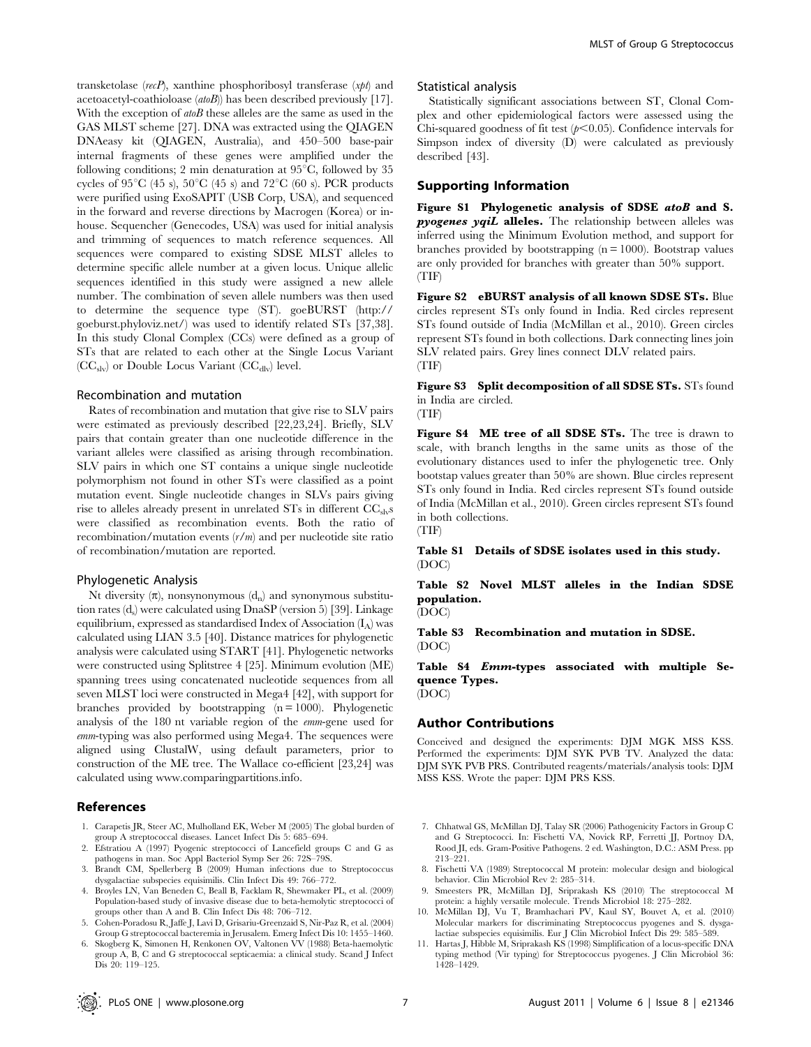transketolase (recP), xanthine phosphoribosyl transferase  $(xpt)$  and acetoacetyl-coathioloase (atoB)) has been described previously [17]. With the exception of  $atoB$  these alleles are the same as used in the GAS MLST scheme [27]. DNA was extracted using the QIAGEN DNAeasy kit (QIAGEN, Australia), and 450–500 base-pair internal fragments of these genes were amplified under the following conditions; 2 min denaturation at  $95^{\circ}$ C, followed by 35 cycles of 95<sup>°</sup>C (45 s), 50<sup>°</sup>C (45 s) and 72<sup>°</sup>C (60 s). PCR products were purified using ExoSAPIT (USB Corp, USA), and sequenced in the forward and reverse directions by Macrogen (Korea) or inhouse. Sequencher (Genecodes, USA) was used for initial analysis and trimming of sequences to match reference sequences. All sequences were compared to existing SDSE MLST alleles to determine specific allele number at a given locus. Unique allelic sequences identified in this study were assigned a new allele number. The combination of seven allele numbers was then used to determine the sequence type (ST). goeBURST (http:// goeburst.phyloviz.net/) was used to identify related STs [37,38]. In this study Clonal Complex (CCs) were defined as a group of STs that are related to each other at the Single Locus Variant  $(CC_{\rm slv})$  or Double Locus Variant  $(CC_{\rm dlv})$  level.

## Recombination and mutation

Rates of recombination and mutation that give rise to SLV pairs were estimated as previously described [22,23,24]. Briefly, SLV pairs that contain greater than one nucleotide difference in the variant alleles were classified as arising through recombination. SLV pairs in which one ST contains a unique single nucleotide polymorphism not found in other STs were classified as a point mutation event. Single nucleotide changes in SLVs pairs giving rise to alleles already present in unrelated  $STs$  in different  $CC_{\rm slv}s$ were classified as recombination events. Both the ratio of recombination/mutation events  $(r/m)$  and per nucleotide site ratio of recombination/mutation are reported.

#### Phylogenetic Analysis

Nt diversity  $(\pi)$ , nonsynonymous  $(d_n)$  and synonymous substitution rates  $(d_s)$  were calculated using DnaSP (version 5) [39]. Linkage equilibrium, expressed as standardised Index of Association  $(I_A)$  was calculated using LIAN 3.5 [40]. Distance matrices for phylogenetic analysis were calculated using START [41]. Phylogenetic networks were constructed using Splitstree 4 [25]. Minimum evolution (ME) spanning trees using concatenated nucleotide sequences from all seven MLST loci were constructed in Mega4 [42], with support for branches provided by bootstrapping  $(n = 1000)$ . Phylogenetic analysis of the 180 nt variable region of the emm-gene used for emm-typing was also performed using Mega4. The sequences were aligned using ClustalW, using default parameters, prior to construction of the ME tree. The Wallace co-efficient [23,24] was calculated using www.comparingpartitions.info.

#### References

- 1. Carapetis JR, Steer AC, Mulholland EK, Weber M (2005) The global burden of group A streptococcal diseases. Lancet Infect Dis 5: 685–694.
- 2. Efstratiou A (1997) Pyogenic streptococci of Lancefield groups C and G as pathogens in man. Soc Appl Bacteriol Symp Ser 26: 72S–79S.
- 3. Brandt CM, Spellerberg B (2009) Human infections due to Streptococcus dysgalactiae subspecies equisimilis. Clin Infect Dis 49: 766–772.
- 4. Broyles LN, Van Beneden C, Beall B, Facklam R, Shewmaker PL, et al. (2009) Population-based study of invasive disease due to beta-hemolytic streptococci of groups other than A and B. Clin Infect Dis 48: 706–712.
- 5. Cohen-Poradosu R, Jaffe J, Lavi D, Grisariu-Greenzaid S, Nir-Paz R, et al. (2004) Group G streptococcal bacteremia in Jerusalem. Emerg Infect Dis 10: 1455–1460.
- 6. Skogberg K, Simonen H, Renkonen OV, Valtonen VV (1988) Beta-haemolytic group A, B, C and G streptococcal septicaemia: a clinical study. Scand J Infect Dis 20: 119-125.

## Statistical analysis

Statistically significant associations between ST, Clonal Complex and other epidemiological factors were assessed using the Chi-squared goodness of fit test  $(p<0.05)$ . Confidence intervals for Simpson index of diversity (D) were calculated as previously described [43].

## Supporting Information

Figure S1 Phylogenetic analysis of SDSE atoB and S. pyogenes yqiL alleles. The relationship between alleles was inferred using the Minimum Evolution method, and support for branches provided by bootstrapping  $(n = 1000)$ . Bootstrap values are only provided for branches with greater than 50% support. (TIF)

Figure S2 eBURST analysis of all known SDSE STs. Blue circles represent STs only found in India. Red circles represent STs found outside of India (McMillan et al., 2010). Green circles represent STs found in both collections. Dark connecting lines join SLV related pairs. Grey lines connect DLV related pairs. (TIF)

Figure S3 Split decomposition of all SDSE STs. STs found in India are circled. (TIF)

Figure S4 ME tree of all SDSE STs. The tree is drawn to scale, with branch lengths in the same units as those of the evolutionary distances used to infer the phylogenetic tree. Only bootstap values greater than 50% are shown. Blue circles represent STs only found in India. Red circles represent STs found outside of India (McMillan et al., 2010). Green circles represent STs found in both collections.

## Table S1 Details of SDSE isolates used in this study. (DOC)

## Table S2 Novel MLST alleles in the Indian SDSE population.

(DOC)

(TIF)

Table S3 Recombination and mutation in SDSE. (DOC)

# Table S4 Emm-types associated with multiple Sequence Types.

(DOC)

## Author Contributions

Conceived and designed the experiments: DJM MGK MSS KSS. Performed the experiments: DJM SYK PVB TV. Analyzed the data: DJM SYK PVB PRS. Contributed reagents/materials/analysis tools: DJM MSS KSS. Wrote the paper: DJM PRS KSS.

- 7. Chhatwal GS, McMillan DJ, Talay SR (2006) Pathogenicity Factors in Group C and G Streptococci. In: Fischetti VA, Novick RP, Ferretti JJ, Portnoy DA, Rood JI, eds. Gram-Positive Pathogens. 2 ed. Washington, D.C.: ASM Press. pp 213–221.
- 8. Fischetti VA (1989) Streptococcal M protein: molecular design and biological behavior. Clin Microbiol Rev 2: 285–314.
- 9. Smeesters PR, McMillan DJ, Sriprakash KS (2010) The streptococcal M protein: a highly versatile molecule. Trends Microbiol 18: 275–282.
- 10. McMillan DJ, Vu T, Bramhachari PV, Kaul SY, Bouvet A, et al. (2010) Molecular markers for discriminating Streptococcus pyogenes and S. dysgalactiae subspecies equisimilis. Eur J Clin Microbiol Infect Dis 29: 585–589.
- 11. Hartas J, Hibble M, Sriprakash KS (1998) Simplification of a locus-specific DNA typing method (Vir typing) for Streptococcus pyogenes. J Clin Microbiol 36: 1428–1429.